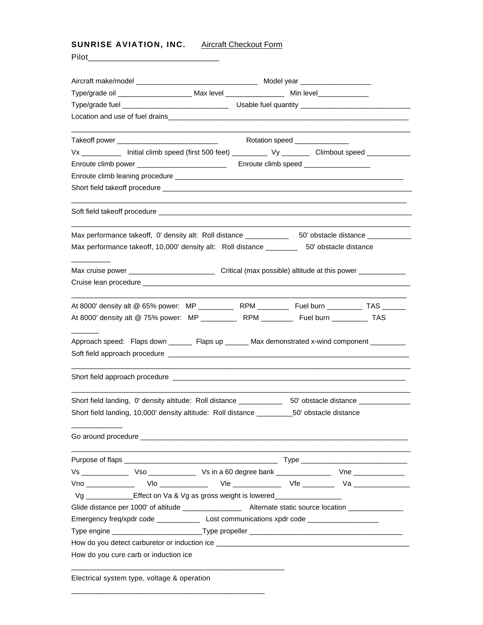**SUNRISE AVIATION, INC.** Aircraft Checkout Form

\_\_\_\_\_\_\_\_\_\_\_\_\_\_\_\_\_\_\_\_\_\_\_\_\_\_\_\_\_\_\_\_\_\_\_\_\_\_\_\_\_\_\_\_\_\_\_\_\_

|                                                                                               | Type/grade oil ___________________________Max level ____________________________ Min level_______________                                                                                                                      |  |  |
|-----------------------------------------------------------------------------------------------|--------------------------------------------------------------------------------------------------------------------------------------------------------------------------------------------------------------------------------|--|--|
|                                                                                               |                                                                                                                                                                                                                                |  |  |
|                                                                                               |                                                                                                                                                                                                                                |  |  |
|                                                                                               |                                                                                                                                                                                                                                |  |  |
|                                                                                               | Vx ____________ Initial climb speed (first 500 feet) __________ Vy ________ Climbout speed _________                                                                                                                           |  |  |
| Enroute climb power _____________________________                                             | Enroute climb speed __________________                                                                                                                                                                                         |  |  |
|                                                                                               |                                                                                                                                                                                                                                |  |  |
|                                                                                               |                                                                                                                                                                                                                                |  |  |
|                                                                                               |                                                                                                                                                                                                                                |  |  |
|                                                                                               |                                                                                                                                                                                                                                |  |  |
|                                                                                               | Max performance takeoff, 10,000' density alt: Roll distance __________ 50' obstacle distance                                                                                                                                   |  |  |
|                                                                                               |                                                                                                                                                                                                                                |  |  |
|                                                                                               |                                                                                                                                                                                                                                |  |  |
|                                                                                               | At 8000' density alt @ 75% power: MP ___________ RPM _________ Fuel burn _________ TAS<br>Approach speed: Flaps down _______ Flaps up ______ Max demonstrated x-wind component _________                                       |  |  |
|                                                                                               |                                                                                                                                                                                                                                |  |  |
| Short field landing, 0' density altitude: Roll distance                                       | 50' obstacle distance                                                                                                                                                                                                          |  |  |
| Short field landing, 10,000' density altitude: Roll distance ___________50' obstacle distance |                                                                                                                                                                                                                                |  |  |
|                                                                                               | Go around procedure experience of the state of the state of the state of the state of the state of the state of the state of the state of the state of the state of the state of the state of the state of the state of the st |  |  |
|                                                                                               |                                                                                                                                                                                                                                |  |  |
|                                                                                               |                                                                                                                                                                                                                                |  |  |
|                                                                                               | Vno ______________  Vlo ______________  Vle ______________ Vfe _________ Va _______________                                                                                                                                    |  |  |
| Vg ______________Effect on Va & Vg as gross weight is lowered___________________              |                                                                                                                                                                                                                                |  |  |
|                                                                                               |                                                                                                                                                                                                                                |  |  |
|                                                                                               |                                                                                                                                                                                                                                |  |  |
|                                                                                               |                                                                                                                                                                                                                                |  |  |
|                                                                                               |                                                                                                                                                                                                                                |  |  |
| How do you cure carb or induction ice                                                         |                                                                                                                                                                                                                                |  |  |
| Electrical system type, voltage & operation                                                   |                                                                                                                                                                                                                                |  |  |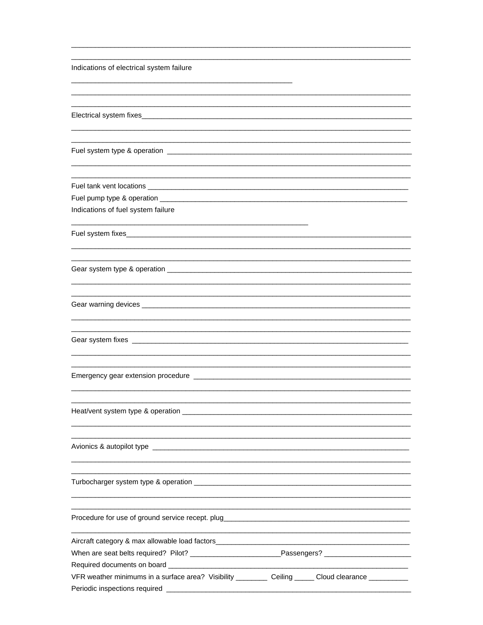| Indications of electrical system failure                                                                   |                                                                                                                  |
|------------------------------------------------------------------------------------------------------------|------------------------------------------------------------------------------------------------------------------|
|                                                                                                            |                                                                                                                  |
|                                                                                                            |                                                                                                                  |
|                                                                                                            |                                                                                                                  |
|                                                                                                            |                                                                                                                  |
|                                                                                                            |                                                                                                                  |
|                                                                                                            |                                                                                                                  |
|                                                                                                            |                                                                                                                  |
| Indications of fuel system failure                                                                         |                                                                                                                  |
|                                                                                                            |                                                                                                                  |
|                                                                                                            |                                                                                                                  |
|                                                                                                            |                                                                                                                  |
|                                                                                                            |                                                                                                                  |
|                                                                                                            |                                                                                                                  |
|                                                                                                            |                                                                                                                  |
|                                                                                                            |                                                                                                                  |
|                                                                                                            |                                                                                                                  |
|                                                                                                            |                                                                                                                  |
|                                                                                                            |                                                                                                                  |
|                                                                                                            |                                                                                                                  |
|                                                                                                            | and the control of the control of the control of the control of the control of the control of the control of the |
|                                                                                                            |                                                                                                                  |
| When are seat belts required? Pilot? ______________________________Passengers? ___________________________ |                                                                                                                  |
|                                                                                                            |                                                                                                                  |
| VFR weather minimums in a surface area? Visibility __________ Ceiling ______ Cloud clearance __________    |                                                                                                                  |